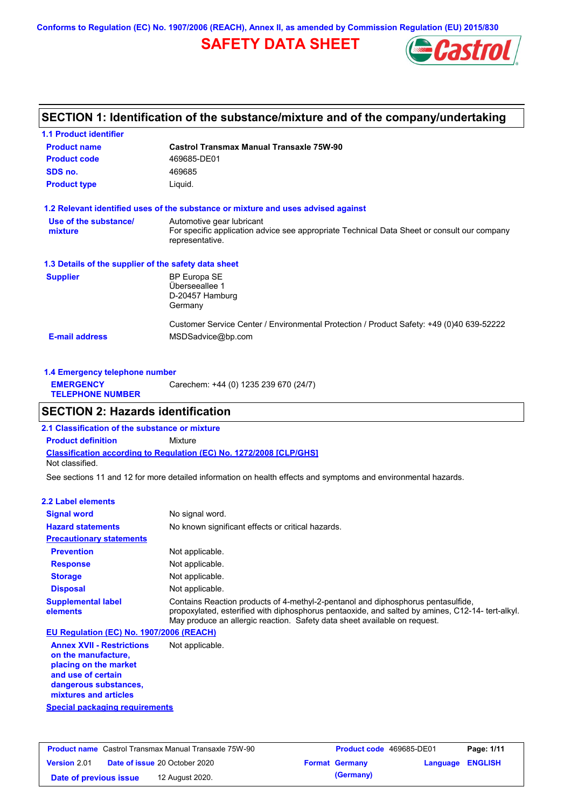**Conforms to Regulation (EC) No. 1907/2006 (REACH), Annex II, as amended by Commission Regulation (EU) 2015/830**

# **SAFETY DATA SHEET**



## **SECTION 1: Identification of the substance/mixture and of the company/undertaking**

| <b>1.1 Product identifier</b>                        |                                                                                                                |
|------------------------------------------------------|----------------------------------------------------------------------------------------------------------------|
| <b>Product name</b>                                  | Castrol Transmax Manual Transaxle 75W-90                                                                       |
| <b>Product code</b>                                  | 469685-DE01                                                                                                    |
| SDS no.                                              | 469685                                                                                                         |
| <b>Product type</b>                                  | Liquid.                                                                                                        |
|                                                      | 1.2 Relevant identified uses of the substance or mixture and uses advised against                              |
| Use of the substance/                                | Automotive gear lubricant                                                                                      |
| mixture                                              | For specific application advice see appropriate Technical Data Sheet or consult our company<br>representative. |
| 1.3 Details of the supplier of the safety data sheet |                                                                                                                |
| <b>Supplier</b>                                      | BP Europa SE                                                                                                   |
|                                                      | Überseeallee 1                                                                                                 |
|                                                      | D-20457 Hamburg<br>Germany                                                                                     |
|                                                      | Customer Service Center / Environmental Protection / Product Safety: +49 (0)40 639-52222                       |
| <b>E-mail address</b>                                | MSDSadvice@bp.com                                                                                              |
|                                                      |                                                                                                                |

| Carechem: +44 (0) 1235 239 670 (24/7)<br><b>EMERGENCY</b><br><b>TELEPHONE NUMBER</b> | 1.4 Emergency telephone number |  |  |  |  |
|--------------------------------------------------------------------------------------|--------------------------------|--|--|--|--|
|                                                                                      |                                |  |  |  |  |

## **SECTION 2: Hazards identification**

**Classification according to Regulation (EC) No. 1272/2008 [CLP/GHS] 2.1 Classification of the substance or mixture Product definition** Mixture Not classified.

See sections 11 and 12 for more detailed information on health effects and symptoms and environmental hazards.

### **2.2 Label elements**

| <b>Signal word</b>                       | No signal word.                                                                                                                                                                                                                                                   |
|------------------------------------------|-------------------------------------------------------------------------------------------------------------------------------------------------------------------------------------------------------------------------------------------------------------------|
| <b>Hazard statements</b>                 | No known significant effects or critical hazards.                                                                                                                                                                                                                 |
| <b>Precautionary statements</b>          |                                                                                                                                                                                                                                                                   |
| <b>Prevention</b>                        | Not applicable.                                                                                                                                                                                                                                                   |
| <b>Response</b>                          | Not applicable.                                                                                                                                                                                                                                                   |
| <b>Storage</b>                           | Not applicable.                                                                                                                                                                                                                                                   |
| <b>Disposal</b>                          | Not applicable.                                                                                                                                                                                                                                                   |
| <b>Supplemental label</b><br>elements    | Contains Reaction products of 4-methyl-2-pentanol and diphosphorus pentasulfide,<br>propoxylated, esterified with diphosphorus pentaoxide, and salted by amines, C12-14- tert-alkyl.<br>May produce an allergic reaction. Safety data sheet available on reguest. |
| EU Regulation (EC) No. 1907/2006 (REACH) |                                                                                                                                                                                                                                                                   |
| <b>Annex XVII - Restrictions</b>         | Not applicable.                                                                                                                                                                                                                                                   |

**Annex XVII - Restrictions on the manufacture, placing on the market and use of certain dangerous substances, mixtures and articles**

**Special packaging requirements**

| <b>Product name</b> Castrol Transmax Manual Transaxle 75W-90 |                                      | <b>Product code</b> 469685-DE01 |                       | Page: 1/11              |  |
|--------------------------------------------------------------|--------------------------------------|---------------------------------|-----------------------|-------------------------|--|
| <b>Version 2.01</b>                                          | <b>Date of issue 20 October 2020</b> |                                 | <b>Format Germany</b> | <b>Language ENGLISH</b> |  |
| Date of previous issue                                       | 12 August 2020.                      |                                 | (Germany)             |                         |  |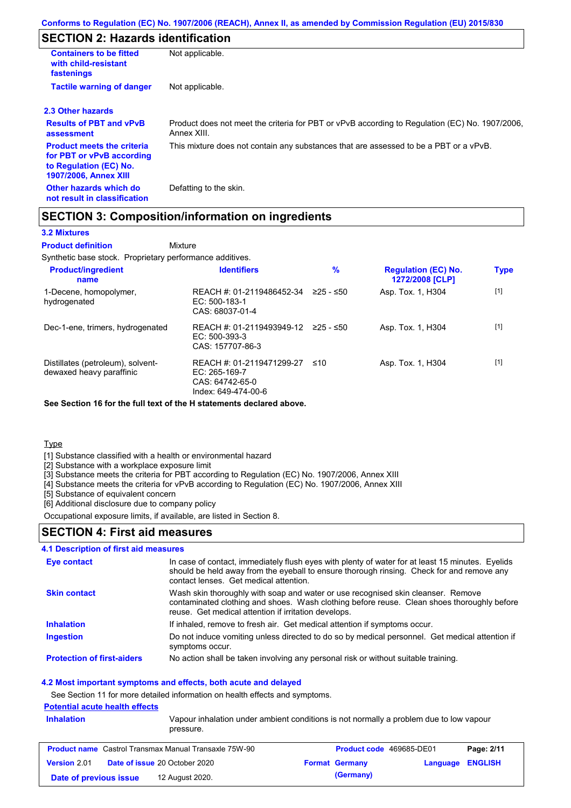## **SECTION 2: Hazards identification**

| <b>Containers to be fitted</b><br>with child-resistant<br>fastenings                                                     | Not applicable.                                                                                               |
|--------------------------------------------------------------------------------------------------------------------------|---------------------------------------------------------------------------------------------------------------|
| <b>Tactile warning of danger</b>                                                                                         | Not applicable.                                                                                               |
| 2.3 Other hazards                                                                                                        |                                                                                                               |
| <b>Results of PBT and vPvB</b><br>assessment                                                                             | Product does not meet the criteria for PBT or vPvB according to Regulation (EC) No. 1907/2006,<br>Annex XIII. |
| <b>Product meets the criteria</b><br>for PBT or vPvB according<br>to Regulation (EC) No.<br><b>1907/2006, Annex XIII</b> | This mixture does not contain any substances that are assessed to be a PBT or a vPvB.                         |
| Other hazards which do<br>not result in classification                                                                   | Defatting to the skin.                                                                                        |

## **SECTION 3: Composition/information on ingredients**

Mixture

### **3.2 Mixtures**

**Product definition**

Synthetic base stock. Proprietary performance additives.

| <b>Product/ingredient</b><br>name                             | <b>Identifiers</b>                                                                   | $\%$      | <b>Regulation (EC) No.</b><br>1272/2008 [CLP] | <b>Type</b> |
|---------------------------------------------------------------|--------------------------------------------------------------------------------------|-----------|-----------------------------------------------|-------------|
| 1-Decene, homopolymer,<br>hydrogenated                        | REACH #: 01-2119486452-34<br>$EC: 500-183-1$<br>CAS: 68037-01-4                      | ≥25 - ≤50 | Asp. Tox. 1, H304                             | $[1]$       |
| Dec-1-ene, trimers, hydrogenated                              | REACH #: 01-2119493949-12<br>$EC: 500-393-3$<br>CAS: 157707-86-3                     | 225 - ≤50 | Asp. Tox. 1, H304                             | $[1]$       |
| Distillates (petroleum), solvent-<br>dewaxed heavy paraffinic | REACH #: 01-2119471299-27<br>EC: 265-169-7<br>CAS: 64742-65-0<br>Index: 649-474-00-6 | ≤10       | Asp. Tox. 1, H304                             | $[1]$       |

**See Section 16 for the full text of the H statements declared above.**

**Type** 

[1] Substance classified with a health or environmental hazard

[2] Substance with a workplace exposure limit

[3] Substance meets the criteria for PBT according to Regulation (EC) No. 1907/2006, Annex XIII

[4] Substance meets the criteria for vPvB according to Regulation (EC) No. 1907/2006, Annex XIII

[5] Substance of equivalent concern

[6] Additional disclosure due to company policy

Occupational exposure limits, if available, are listed in Section 8.

### **SECTION 4: First aid measures**

### **4.1 Description of first aid measures**

| Eye contact                       | In case of contact, immediately flush eyes with plenty of water for at least 15 minutes. Eyelids<br>should be held away from the eyeball to ensure thorough rinsing. Check for and remove any<br>contact lenses. Get medical attention. |
|-----------------------------------|-----------------------------------------------------------------------------------------------------------------------------------------------------------------------------------------------------------------------------------------|
| <b>Skin contact</b>               | Wash skin thoroughly with soap and water or use recognised skin cleanser. Remove<br>contaminated clothing and shoes. Wash clothing before reuse. Clean shoes thoroughly before<br>reuse. Get medical attention if irritation develops.  |
| <b>Inhalation</b>                 | If inhaled, remove to fresh air. Get medical attention if symptoms occur.                                                                                                                                                               |
| <b>Ingestion</b>                  | Do not induce vomiting unless directed to do so by medical personnel. Get medical attention if<br>symptoms occur.                                                                                                                       |
| <b>Protection of first-aiders</b> | No action shall be taken involving any personal risk or without suitable training.                                                                                                                                                      |

### **4.2 Most important symptoms and effects, both acute and delayed**

See Section 11 for more detailed information on health effects and symptoms.

### **Potential acute health effects**

| <b>Inhalation</b>      | pressure.                                                    | Vapour inhalation under ambient conditions is not normally a problem due to low vapour |                         |            |
|------------------------|--------------------------------------------------------------|----------------------------------------------------------------------------------------|-------------------------|------------|
|                        | <b>Product name</b> Castrol Transmax Manual Transaxle 75W-90 | <b>Product code</b> 469685-DE01                                                        |                         | Page: 2/11 |
| Version 2.01           | <b>Date of issue 20 October 2020</b>                         | <b>Format Germany</b>                                                                  | <b>Language ENGLISH</b> |            |
| Date of previous issue | 12 August 2020.                                              | (Germany)                                                                              |                         |            |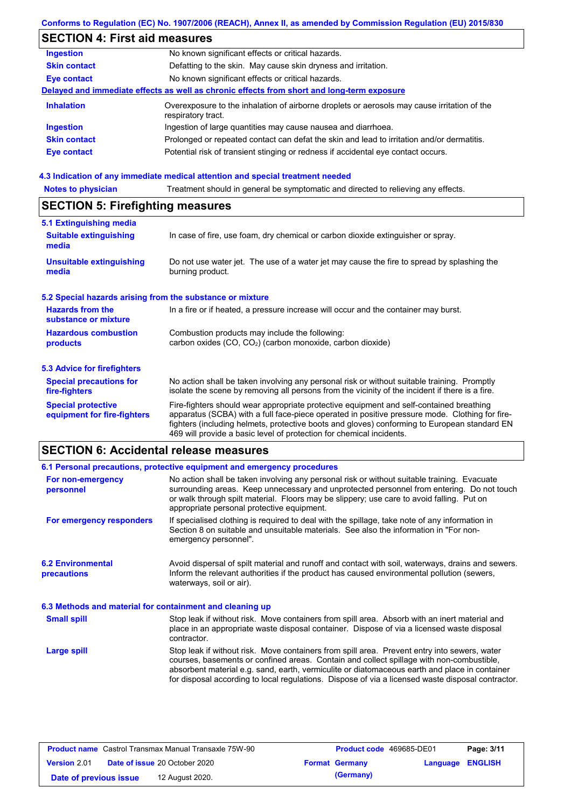## **Conforms to Regulation (EC) No. 1907/2006 (REACH), Annex II, as amended by Commission Regulation (EU) 2015/830**

# **SECTION 4: First aid measures**

| <b>Ingestion</b>    | No known significant effects or critical hazards.                                                                 |
|---------------------|-------------------------------------------------------------------------------------------------------------------|
| <b>Skin contact</b> | Defatting to the skin. May cause skin dryness and irritation.                                                     |
| <b>Eye contact</b>  | No known significant effects or critical hazards.                                                                 |
|                     | Delayed and immediate effects as well as chronic effects from short and long-term exposure                        |
| <b>Inhalation</b>   | Overexposure to the inhalation of airborne droplets or aerosols may cause irritation of the<br>respiratory tract. |
| <b>Ingestion</b>    | Ingestion of large quantities may cause nausea and diarrhoea.                                                     |
| <b>Skin contact</b> | Prolonged or repeated contact can defat the skin and lead to irritation and/or dermatitis.                        |
| Eye contact         | Potential risk of transient stinging or redness if accidental eye contact occurs.                                 |
|                     |                                                                                                                   |

### **4.3 Indication of any immediate medical attention and special treatment needed**

| <b>Notes to physician</b>                                 | Treatment should in general be symptomatic and directed to relieving any effects.                                                                                                                                                                                                                                                                                 |  |  |  |
|-----------------------------------------------------------|-------------------------------------------------------------------------------------------------------------------------------------------------------------------------------------------------------------------------------------------------------------------------------------------------------------------------------------------------------------------|--|--|--|
| <b>SECTION 5: Firefighting measures</b>                   |                                                                                                                                                                                                                                                                                                                                                                   |  |  |  |
| 5.1 Extinguishing media                                   |                                                                                                                                                                                                                                                                                                                                                                   |  |  |  |
| <b>Suitable extinguishing</b><br>media                    | In case of fire, use foam, dry chemical or carbon dioxide extinguisher or spray.                                                                                                                                                                                                                                                                                  |  |  |  |
| <b>Unsuitable extinguishing</b><br>media                  | Do not use water jet. The use of a water jet may cause the fire to spread by splashing the<br>burning product.                                                                                                                                                                                                                                                    |  |  |  |
| 5.2 Special hazards arising from the substance or mixture |                                                                                                                                                                                                                                                                                                                                                                   |  |  |  |
| <b>Hazards from the</b><br>substance or mixture           | In a fire or if heated, a pressure increase will occur and the container may burst.                                                                                                                                                                                                                                                                               |  |  |  |
| <b>Hazardous combustion</b>                               | Combustion products may include the following:                                                                                                                                                                                                                                                                                                                    |  |  |  |
| products                                                  | carbon oxides (CO, CO <sub>2</sub> ) (carbon monoxide, carbon dioxide)                                                                                                                                                                                                                                                                                            |  |  |  |
| 5.3 Advice for firefighters                               |                                                                                                                                                                                                                                                                                                                                                                   |  |  |  |
| <b>Special precautions for</b><br>fire-fighters           | No action shall be taken involving any personal risk or without suitable training. Promptly<br>isolate the scene by removing all persons from the vicinity of the incident if there is a fire.                                                                                                                                                                    |  |  |  |
| <b>Special protective</b><br>equipment for fire-fighters  | Fire-fighters should wear appropriate protective equipment and self-contained breathing<br>apparatus (SCBA) with a full face-piece operated in positive pressure mode. Clothing for fire-<br>fighters (including helmets, protective boots and gloves) conforming to European standard EN<br>469 will provide a basic level of protection for chemical incidents. |  |  |  |

# **SECTION 6: Accidental release measures**

|                                                          | 6.1 Personal precautions, protective equipment and emergency procedures                                                                                                                                                                                                                                                                                                                        |
|----------------------------------------------------------|------------------------------------------------------------------------------------------------------------------------------------------------------------------------------------------------------------------------------------------------------------------------------------------------------------------------------------------------------------------------------------------------|
| For non-emergency<br>personnel                           | No action shall be taken involving any personal risk or without suitable training. Evacuate<br>surrounding areas. Keep unnecessary and unprotected personnel from entering. Do not touch<br>or walk through spilt material. Floors may be slippery; use care to avoid falling. Put on<br>appropriate personal protective equipment.                                                            |
| For emergency responders                                 | If specialised clothing is required to deal with the spillage, take note of any information in<br>Section 8 on suitable and unsuitable materials. See also the information in "For non-<br>emergency personnel".                                                                                                                                                                               |
| <b>6.2 Environmental</b><br><b>precautions</b>           | Avoid dispersal of spilt material and runoff and contact with soil, waterways, drains and sewers.<br>Inform the relevant authorities if the product has caused environmental pollution (sewers,<br>waterways, soil or air).                                                                                                                                                                    |
| 6.3 Methods and material for containment and cleaning up |                                                                                                                                                                                                                                                                                                                                                                                                |
| <b>Small spill</b>                                       | Stop leak if without risk. Move containers from spill area. Absorb with an inert material and<br>place in an appropriate waste disposal container. Dispose of via a licensed waste disposal<br>contractor.                                                                                                                                                                                     |
| <b>Large spill</b>                                       | Stop leak if without risk. Move containers from spill area. Prevent entry into sewers, water<br>courses, basements or confined areas. Contain and collect spillage with non-combustible,<br>absorbent material e.g. sand, earth, vermiculite or diatomaceous earth and place in container<br>for disposal according to local regulations. Dispose of via a licensed waste disposal contractor. |

| <b>Product name</b> Castrol Transmax Manual Transaxle 75W-90 |  | <b>Product code</b> 469685-DE01      |  | Page: 3/11            |                         |  |
|--------------------------------------------------------------|--|--------------------------------------|--|-----------------------|-------------------------|--|
| <b>Version 2.01</b>                                          |  | <b>Date of issue 20 October 2020</b> |  | <b>Format Germany</b> | <b>Language ENGLISH</b> |  |
| Date of previous issue                                       |  | 12 August 2020.                      |  | (Germany)             |                         |  |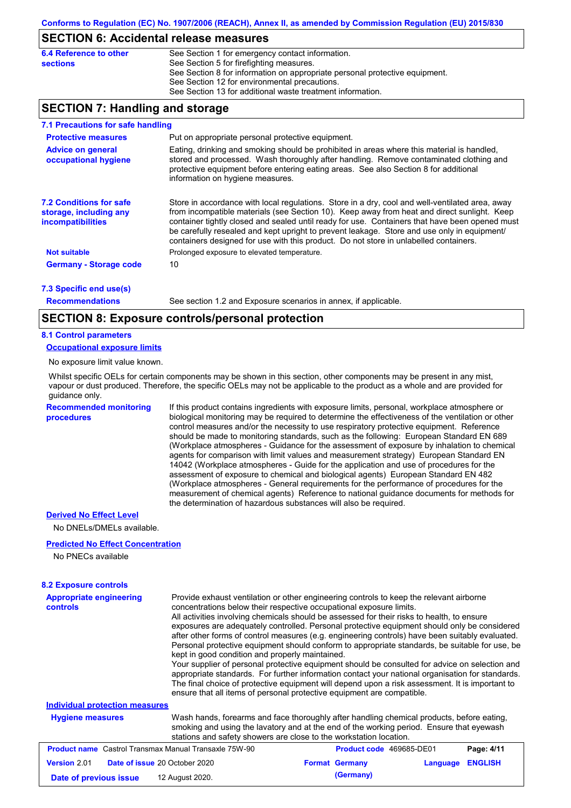### **SECTION 6: Accidental release measures**

| 6.4 Reference to other | See Section 1 for emergency contact information.                            |
|------------------------|-----------------------------------------------------------------------------|
| sections               | See Section 5 for firefighting measures.                                    |
|                        | See Section 8 for information on appropriate personal protective equipment. |
|                        | See Section 12 for environmental precautions.                               |
|                        | See Section 13 for additional waste treatment information.                  |

## **SECTION 7: Handling and storage**

| 7.1 Precautions for safe handling                                                    |                                                                                                                                                                                                                                                                                                                                                                                                                                                                                          |
|--------------------------------------------------------------------------------------|------------------------------------------------------------------------------------------------------------------------------------------------------------------------------------------------------------------------------------------------------------------------------------------------------------------------------------------------------------------------------------------------------------------------------------------------------------------------------------------|
| <b>Protective measures</b>                                                           | Put on appropriate personal protective equipment.                                                                                                                                                                                                                                                                                                                                                                                                                                        |
| <b>Advice on general</b><br>occupational hygiene                                     | Eating, drinking and smoking should be prohibited in areas where this material is handled.<br>stored and processed. Wash thoroughly after handling. Remove contaminated clothing and<br>protective equipment before entering eating areas. See also Section 8 for additional<br>information on hygiene measures.                                                                                                                                                                         |
| <b>7.2 Conditions for safe</b><br>storage, including any<br><i>incompatibilities</i> | Store in accordance with local requiations. Store in a dry, cool and well-ventilated area, away<br>from incompatible materials (see Section 10). Keep away from heat and direct sunlight. Keep<br>container tightly closed and sealed until ready for use. Containers that have been opened must<br>be carefully resealed and kept upright to prevent leakage. Store and use only in equipment/<br>containers designed for use with this product. Do not store in unlabelled containers. |
| <b>Not suitable</b>                                                                  | Prolonged exposure to elevated temperature.                                                                                                                                                                                                                                                                                                                                                                                                                                              |
| <b>Germany - Storage code</b>                                                        | 10                                                                                                                                                                                                                                                                                                                                                                                                                                                                                       |
| 7.3 Specific end use(s)                                                              |                                                                                                                                                                                                                                                                                                                                                                                                                                                                                          |

**Recommendations**

See section 1.2 and Exposure scenarios in annex, if applicable.

### **SECTION 8: Exposure controls/personal protection**

#### **8.1 Control parameters**

**Occupational exposure limits**

No exposure limit value known.

Whilst specific OELs for certain components may be shown in this section, other components may be present in any mist, vapour or dust produced. Therefore, the specific OELs may not be applicable to the product as a whole and are provided for guidance only.

**Recommended monitoring procedures**

If this product contains ingredients with exposure limits, personal, workplace atmosphere or biological monitoring may be required to determine the effectiveness of the ventilation or other control measures and/or the necessity to use respiratory protective equipment. Reference should be made to monitoring standards, such as the following: European Standard EN 689 (Workplace atmospheres - Guidance for the assessment of exposure by inhalation to chemical agents for comparison with limit values and measurement strategy) European Standard EN 14042 (Workplace atmospheres - Guide for the application and use of procedures for the assessment of exposure to chemical and biological agents) European Standard EN 482 (Workplace atmospheres - General requirements for the performance of procedures for the measurement of chemical agents) Reference to national guidance documents for methods for the determination of hazardous substances will also be required.

#### **Derived No Effect Level**

No DNELs/DMELs available.

#### **Predicted No Effect Concentration**

No PNECs available

### **8.2 Exposure controls**

| <b>Appropriate engineering</b><br><b>controls</b>            | Provide exhaust ventilation or other engineering controls to keep the relevant airborne<br>concentrations below their respective occupational exposure limits.<br>All activities involving chemicals should be assessed for their risks to health, to ensure<br>exposures are adequately controlled. Personal protective equipment should only be considered<br>after other forms of control measures (e.g. engineering controls) have been suitably evaluated.<br>Personal protective equipment should conform to appropriate standards, be suitable for use, be<br>kept in good condition and properly maintained.<br>Your supplier of personal protective equipment should be consulted for advice on selection and<br>appropriate standards. For further information contact your national organisation for standards.<br>The final choice of protective equipment will depend upon a risk assessment. It is important to<br>ensure that all items of personal protective equipment are compatible. |                          |          |                |
|--------------------------------------------------------------|---------------------------------------------------------------------------------------------------------------------------------------------------------------------------------------------------------------------------------------------------------------------------------------------------------------------------------------------------------------------------------------------------------------------------------------------------------------------------------------------------------------------------------------------------------------------------------------------------------------------------------------------------------------------------------------------------------------------------------------------------------------------------------------------------------------------------------------------------------------------------------------------------------------------------------------------------------------------------------------------------------|--------------------------|----------|----------------|
| <b>Individual protection measures</b>                        |                                                                                                                                                                                                                                                                                                                                                                                                                                                                                                                                                                                                                                                                                                                                                                                                                                                                                                                                                                                                         |                          |          |                |
| <b>Hygiene measures</b>                                      | Wash hands, forearms and face thoroughly after handling chemical products, before eating,<br>smoking and using the lavatory and at the end of the working period. Ensure that eyewash<br>stations and safety showers are close to the workstation location.                                                                                                                                                                                                                                                                                                                                                                                                                                                                                                                                                                                                                                                                                                                                             |                          |          |                |
| <b>Product name</b> Castrol Transmax Manual Transaxle 75W-90 |                                                                                                                                                                                                                                                                                                                                                                                                                                                                                                                                                                                                                                                                                                                                                                                                                                                                                                                                                                                                         | Product code 469685-DE01 |          | Page: 4/11     |
| <b>Version 2.01</b><br>Date of issue 20 October 2020         |                                                                                                                                                                                                                                                                                                                                                                                                                                                                                                                                                                                                                                                                                                                                                                                                                                                                                                                                                                                                         | <b>Format Germany</b>    | Language | <b>ENGLISH</b> |
| Date of previous issue                                       | 12 August 2020.                                                                                                                                                                                                                                                                                                                                                                                                                                                                                                                                                                                                                                                                                                                                                                                                                                                                                                                                                                                         | (Germany)                |          |                |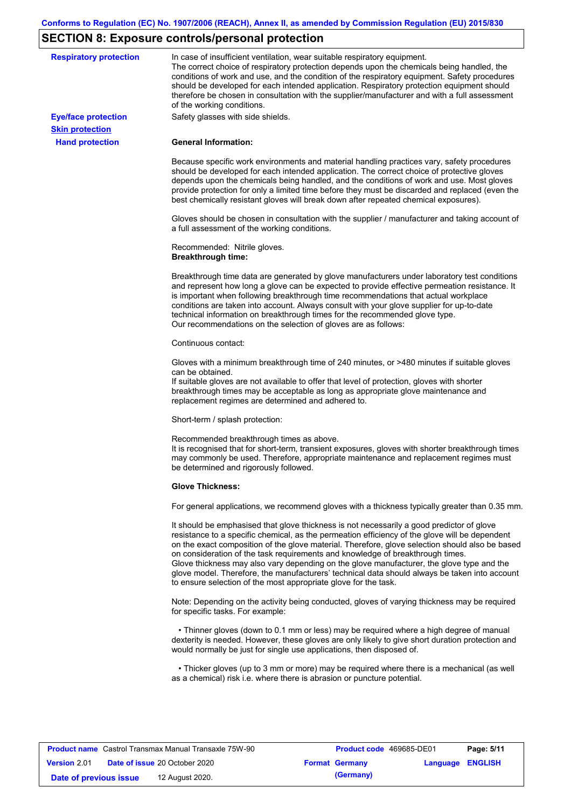# **SECTION 8: Exposure controls/personal protection**

| <b>Respiratory protection</b> | In case of insufficient ventilation, wear suitable respiratory equipment.<br>The correct choice of respiratory protection depends upon the chemicals being handled, the<br>conditions of work and use, and the condition of the respiratory equipment. Safety procedures<br>should be developed for each intended application. Respiratory protection equipment should<br>therefore be chosen in consultation with the supplier/manufacturer and with a full assessment<br>of the working conditions.                                                                                                                                             |
|-------------------------------|---------------------------------------------------------------------------------------------------------------------------------------------------------------------------------------------------------------------------------------------------------------------------------------------------------------------------------------------------------------------------------------------------------------------------------------------------------------------------------------------------------------------------------------------------------------------------------------------------------------------------------------------------|
| <b>Eye/face protection</b>    | Safety glasses with side shields.                                                                                                                                                                                                                                                                                                                                                                                                                                                                                                                                                                                                                 |
| <b>Skin protection</b>        |                                                                                                                                                                                                                                                                                                                                                                                                                                                                                                                                                                                                                                                   |
| <b>Hand protection</b>        | <b>General Information:</b>                                                                                                                                                                                                                                                                                                                                                                                                                                                                                                                                                                                                                       |
|                               | Because specific work environments and material handling practices vary, safety procedures<br>should be developed for each intended application. The correct choice of protective gloves<br>depends upon the chemicals being handled, and the conditions of work and use. Most gloves<br>provide protection for only a limited time before they must be discarded and replaced (even the<br>best chemically resistant gloves will break down after repeated chemical exposures).                                                                                                                                                                  |
|                               | Gloves should be chosen in consultation with the supplier / manufacturer and taking account of<br>a full assessment of the working conditions.                                                                                                                                                                                                                                                                                                                                                                                                                                                                                                    |
|                               | Recommended: Nitrile gloves.<br><b>Breakthrough time:</b>                                                                                                                                                                                                                                                                                                                                                                                                                                                                                                                                                                                         |
|                               | Breakthrough time data are generated by glove manufacturers under laboratory test conditions<br>and represent how long a glove can be expected to provide effective permeation resistance. It<br>is important when following breakthrough time recommendations that actual workplace<br>conditions are taken into account. Always consult with your glove supplier for up-to-date<br>technical information on breakthrough times for the recommended glove type.<br>Our recommendations on the selection of gloves are as follows:                                                                                                                |
|                               | Continuous contact:                                                                                                                                                                                                                                                                                                                                                                                                                                                                                                                                                                                                                               |
|                               | Gloves with a minimum breakthrough time of 240 minutes, or >480 minutes if suitable gloves<br>can be obtained.<br>If suitable gloves are not available to offer that level of protection, gloves with shorter<br>breakthrough times may be acceptable as long as appropriate glove maintenance and<br>replacement regimes are determined and adhered to.                                                                                                                                                                                                                                                                                          |
|                               | Short-term / splash protection:                                                                                                                                                                                                                                                                                                                                                                                                                                                                                                                                                                                                                   |
|                               | Recommended breakthrough times as above.<br>It is recognised that for short-term, transient exposures, gloves with shorter breakthrough times<br>may commonly be used. Therefore, appropriate maintenance and replacement regimes must<br>be determined and rigorously followed.                                                                                                                                                                                                                                                                                                                                                                  |
|                               | <b>Glove Thickness:</b>                                                                                                                                                                                                                                                                                                                                                                                                                                                                                                                                                                                                                           |
|                               | For general applications, we recommend gloves with a thickness typically greater than 0.35 mm.                                                                                                                                                                                                                                                                                                                                                                                                                                                                                                                                                    |
|                               | It should be emphasised that glove thickness is not necessarily a good predictor of glove<br>resistance to a specific chemical, as the permeation efficiency of the glove will be dependent<br>on the exact composition of the glove material. Therefore, glove selection should also be based<br>on consideration of the task requirements and knowledge of breakthrough times.<br>Glove thickness may also vary depending on the glove manufacturer, the glove type and the<br>glove model. Therefore, the manufacturers' technical data should always be taken into account<br>to ensure selection of the most appropriate glove for the task. |
|                               | Note: Depending on the activity being conducted, gloves of varying thickness may be required<br>for specific tasks. For example:                                                                                                                                                                                                                                                                                                                                                                                                                                                                                                                  |
|                               | • Thinner gloves (down to 0.1 mm or less) may be required where a high degree of manual<br>dexterity is needed. However, these gloves are only likely to give short duration protection and<br>would normally be just for single use applications, then disposed of.                                                                                                                                                                                                                                                                                                                                                                              |
|                               | • Thicker gloves (up to 3 mm or more) may be required where there is a mechanical (as well<br>as a chemical) risk i.e. where there is abrasion or puncture potential.                                                                                                                                                                                                                                                                                                                                                                                                                                                                             |

|                        | <b>Product name</b> Castrol Transmax Manual Transaxle 75W-90 | Product code 469685-DE01 |                  | Page: 5/11 |
|------------------------|--------------------------------------------------------------|--------------------------|------------------|------------|
| <b>Version 2.01</b>    | <b>Date of issue 20 October 2020</b>                         | <b>Format Germany</b>    | Language ENGLISH |            |
| Date of previous issue | 12 August 2020.                                              | (Germany)                |                  |            |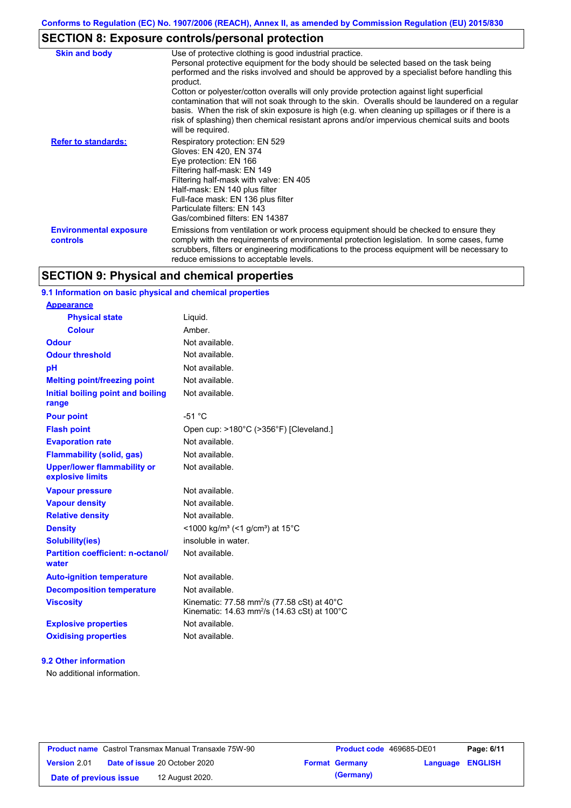# **SECTION 8: Exposure controls/personal protection**

| <b>Skin and body</b>                             | Use of protective clothing is good industrial practice.<br>Personal protective equipment for the body should be selected based on the task being<br>performed and the risks involved and should be approved by a specialist before handling this<br>product.<br>Cotton or polyester/cotton overalls will only provide protection against light superficial<br>contamination that will not soak through to the skin. Overalls should be laundered on a regular<br>basis. When the risk of skin exposure is high (e.g. when cleaning up spillages or if there is a<br>risk of splashing) then chemical resistant aprons and/or impervious chemical suits and boots<br>will be required. |
|--------------------------------------------------|---------------------------------------------------------------------------------------------------------------------------------------------------------------------------------------------------------------------------------------------------------------------------------------------------------------------------------------------------------------------------------------------------------------------------------------------------------------------------------------------------------------------------------------------------------------------------------------------------------------------------------------------------------------------------------------|
| <b>Refer to standards:</b>                       | Respiratory protection: EN 529<br>Gloves: EN 420, EN 374<br>Eye protection: EN 166<br>Filtering half-mask: EN 149<br>Filtering half-mask with valve: EN 405<br>Half-mask: EN 140 plus filter<br>Full-face mask: EN 136 plus filter<br>Particulate filters: EN 143<br>Gas/combined filters: EN 14387                                                                                                                                                                                                                                                                                                                                                                                   |
| <b>Environmental exposure</b><br><b>controls</b> | Emissions from ventilation or work process equipment should be checked to ensure they<br>comply with the requirements of environmental protection legislation. In some cases, fume<br>scrubbers, filters or engineering modifications to the process equipment will be necessary to<br>reduce emissions to acceptable levels.                                                                                                                                                                                                                                                                                                                                                         |

## **SECTION 9: Physical and chemical properties**

### **9.1 Information on basic physical and chemical properties**

| <b>Appearance</b>                                      |                                                                                                                                           |
|--------------------------------------------------------|-------------------------------------------------------------------------------------------------------------------------------------------|
| <b>Physical state</b>                                  | Liquid.                                                                                                                                   |
| <b>Colour</b>                                          | Amber.                                                                                                                                    |
| Odour                                                  | Not available.                                                                                                                            |
| <b>Odour threshold</b>                                 | Not available.                                                                                                                            |
| pH                                                     | Not available.                                                                                                                            |
| <b>Melting point/freezing point</b>                    | Not available.                                                                                                                            |
| Initial boiling point and boiling<br>range             | Not available.                                                                                                                            |
| <b>Pour point</b>                                      | $-51 °C$                                                                                                                                  |
| <b>Flash point</b>                                     | Open cup: >180°C (>356°F) [Cleveland.]                                                                                                    |
| <b>Evaporation rate</b>                                | Not available.                                                                                                                            |
| <b>Flammability (solid, gas)</b>                       | Not available.                                                                                                                            |
| <b>Upper/lower flammability or</b><br>explosive limits | Not available.                                                                                                                            |
| <b>Vapour pressure</b>                                 | Not available.                                                                                                                            |
| <b>Vapour density</b>                                  | Not available.                                                                                                                            |
| <b>Relative density</b>                                | Not available.                                                                                                                            |
| <b>Density</b>                                         | <1000 kg/m <sup>3</sup> (<1 g/cm <sup>3</sup> ) at 15 <sup>°</sup> C                                                                      |
| Solubility(ies)                                        | insoluble in water.                                                                                                                       |
| <b>Partition coefficient: n-octanol/</b><br>water      | Not available.                                                                                                                            |
| <b>Auto-ignition temperature</b>                       | Not available.                                                                                                                            |
| <b>Decomposition temperature</b>                       | Not available.                                                                                                                            |
| <b>Viscosity</b>                                       | Kinematic: 77.58 mm <sup>2</sup> /s (77.58 cSt) at 40 $^{\circ}$ C<br>Kinematic: 14.63 mm <sup>2</sup> /s (14.63 cSt) at 100 $^{\circ}$ C |
| <b>Explosive properties</b>                            | Not available.                                                                                                                            |
| <b>Oxidising properties</b>                            | Not available.                                                                                                                            |

### **9.2 Other information**

No additional information.

| <b>Product name</b> Castrol Transmax Manual Transaxle 75W-90 |  | <b>Product code</b> 469685-DE01      |                       | Page: 6/11              |  |
|--------------------------------------------------------------|--|--------------------------------------|-----------------------|-------------------------|--|
| <b>Version 2.01</b>                                          |  | <b>Date of issue 20 October 2020</b> | <b>Format Germany</b> | <b>Language ENGLISH</b> |  |
| Date of previous issue                                       |  | 12 August 2020.                      | (Germany)             |                         |  |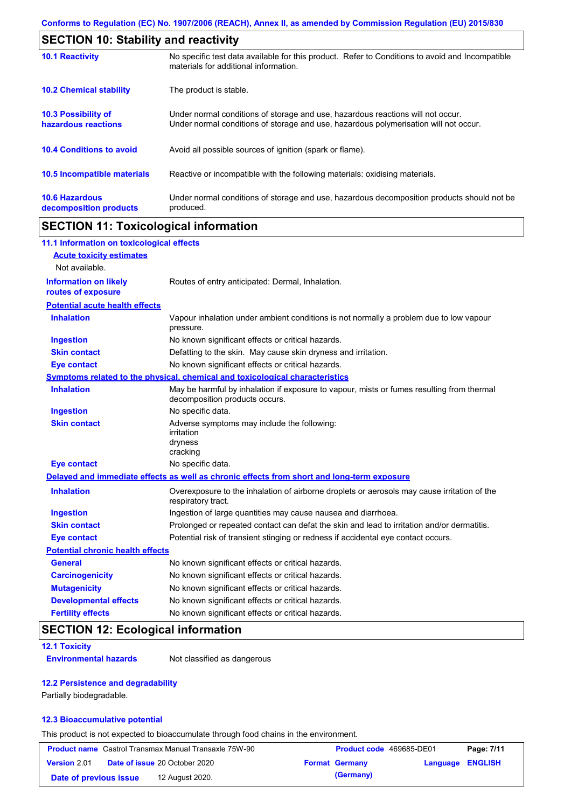| <b>SECTION 10: Stability and reactivity</b>       |                                                                                                                                                                         |  |  |
|---------------------------------------------------|-------------------------------------------------------------------------------------------------------------------------------------------------------------------------|--|--|
| <b>10.1 Reactivity</b>                            | No specific test data available for this product. Refer to Conditions to avoid and Incompatible<br>materials for additional information.                                |  |  |
| <b>10.2 Chemical stability</b>                    | The product is stable.                                                                                                                                                  |  |  |
| <b>10.3 Possibility of</b><br>hazardous reactions | Under normal conditions of storage and use, hazardous reactions will not occur.<br>Under normal conditions of storage and use, hazardous polymerisation will not occur. |  |  |
| <b>10.4 Conditions to avoid</b>                   | Avoid all possible sources of ignition (spark or flame).                                                                                                                |  |  |
| <b>10.5 Incompatible materials</b>                | Reactive or incompatible with the following materials: oxidising materials.                                                                                             |  |  |
| <b>10.6 Hazardous</b><br>decomposition products   | Under normal conditions of storage and use, hazardous decomposition products should not be<br>produced.                                                                 |  |  |

# **SECTION 11: Toxicological information**

| 11.1 Information on toxicological effects          |                                                                                                                             |
|----------------------------------------------------|-----------------------------------------------------------------------------------------------------------------------------|
| <b>Acute toxicity estimates</b>                    |                                                                                                                             |
| Not available.                                     |                                                                                                                             |
| <b>Information on likely</b><br>routes of exposure | Routes of entry anticipated: Dermal, Inhalation.                                                                            |
| <b>Potential acute health effects</b>              |                                                                                                                             |
| <b>Inhalation</b>                                  | Vapour inhalation under ambient conditions is not normally a problem due to low vapour<br>pressure.                         |
| <b>Ingestion</b>                                   | No known significant effects or critical hazards.                                                                           |
| <b>Skin contact</b>                                | Defatting to the skin. May cause skin dryness and irritation.                                                               |
| <b>Eye contact</b>                                 | No known significant effects or critical hazards.                                                                           |
|                                                    | Symptoms related to the physical, chemical and toxicological characteristics                                                |
| <b>Inhalation</b>                                  | May be harmful by inhalation if exposure to vapour, mists or fumes resulting from thermal<br>decomposition products occurs. |
| <b>Ingestion</b>                                   | No specific data.                                                                                                           |
| <b>Skin contact</b>                                | Adverse symptoms may include the following:<br>irritation<br>dryness<br>cracking                                            |
| <b>Eye contact</b>                                 | No specific data.                                                                                                           |
|                                                    | Delayed and immediate effects as well as chronic effects from short and long-term exposure                                  |
| <b>Inhalation</b>                                  | Overexposure to the inhalation of airborne droplets or aerosols may cause irritation of the<br>respiratory tract.           |
| <b>Ingestion</b>                                   | Ingestion of large quantities may cause nausea and diarrhoea.                                                               |
| <b>Skin contact</b>                                | Prolonged or repeated contact can defat the skin and lead to irritation and/or dermatitis.                                  |
| <b>Eye contact</b>                                 | Potential risk of transient stinging or redness if accidental eye contact occurs.                                           |
| <b>Potential chronic health effects</b>            |                                                                                                                             |
| <b>General</b>                                     | No known significant effects or critical hazards.                                                                           |
| <b>Carcinogenicity</b>                             | No known significant effects or critical hazards.                                                                           |
| <b>Mutagenicity</b>                                | No known significant effects or critical hazards.                                                                           |
| <b>Developmental effects</b>                       | No known significant effects or critical hazards.                                                                           |
| <b>Fertility effects</b>                           | No known significant effects or critical hazards.                                                                           |

# **SECTION 12: Ecological information**

### **12.1 Toxicity**

**Environmental hazards** Not classified as dangerous

### **12.2 Persistence and degradability**

Partially biodegradable.

### **12.3 Bioaccumulative potential**

This product is not expected to bioaccumulate through food chains in the environment.

|                        | <b>Product name</b> Castrol Transmax Manual Transaxle 75W-90 | Product code 469685-DE01 |                         | Page: 7/11 |
|------------------------|--------------------------------------------------------------|--------------------------|-------------------------|------------|
| <b>Version 2.01</b>    | <b>Date of issue 20 October 2020</b>                         | <b>Format Germany</b>    | <b>Language ENGLISH</b> |            |
| Date of previous issue | 12 August 2020.                                              | (Germany)                |                         |            |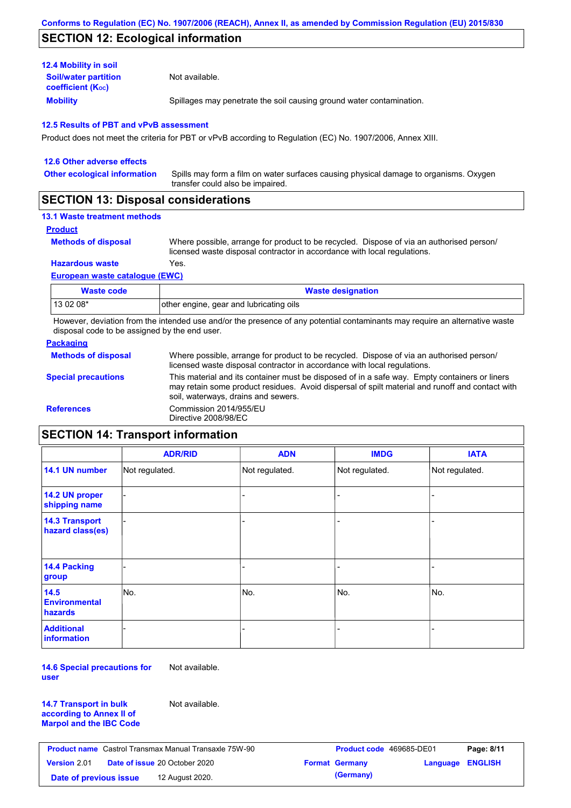## **SECTION 12: Ecological information**

| <b>12.4 Mobility in soil</b>                            |                                                                      |
|---------------------------------------------------------|----------------------------------------------------------------------|
| <b>Soil/water partition</b><br><b>coefficient (Koc)</b> | Not available.                                                       |
| <b>Mobility</b>                                         | Spillages may penetrate the soil causing ground water contamination. |

### **12.5 Results of PBT and vPvB assessment**

Product does not meet the criteria for PBT or vPvB according to Regulation (EC) No. 1907/2006, Annex XIII.

| 12.6 Other adverse effects          |                                                                                                                           |
|-------------------------------------|---------------------------------------------------------------------------------------------------------------------------|
| <b>Other ecological information</b> | Spills may form a film on water surfaces causing physical damage to organisms. Oxygen<br>transfer could also be impaired. |
|                                     |                                                                                                                           |

## **SECTION 13: Disposal considerations**

## **13.1 Waste treatment methods**

**Product**

**Methods of disposal**

Where possible, arrange for product to be recycled. Dispose of via an authorised person/ licensed waste disposal contractor in accordance with local regulations.

**Hazardous waste** Yes.

#### **European waste catalogue (EWC)**

| Waste code | <b>Waste designation</b>                |
|------------|-----------------------------------------|
| 13 02 08*  | other engine, gear and lubricating oils |

However, deviation from the intended use and/or the presence of any potential contaminants may require an alternative waste disposal code to be assigned by the end user.

### **Packaging**

| <b>Methods of disposal</b> | Where possible, arrange for product to be recycled. Dispose of via an authorised person/<br>licensed waste disposal contractor in accordance with local regulations.                                                                    |
|----------------------------|-----------------------------------------------------------------------------------------------------------------------------------------------------------------------------------------------------------------------------------------|
| <b>Special precautions</b> | This material and its container must be disposed of in a safe way. Empty containers or liners<br>may retain some product residues. Avoid dispersal of spilt material and runoff and contact with<br>soil, waterways, drains and sewers. |
| <b>References</b>          | Commission 2014/955/EU<br>Directive 2008/98/EC                                                                                                                                                                                          |

# **SECTION 14: Transport information**

|                                           | <b>ADR/RID</b> | <b>ADN</b>     | <b>IMDG</b>    | <b>IATA</b>    |
|-------------------------------------------|----------------|----------------|----------------|----------------|
| 14.1 UN number                            | Not regulated. | Not regulated. | Not regulated. | Not regulated. |
| 14.2 UN proper<br>shipping name           |                |                | -              |                |
| <b>14.3 Transport</b><br>hazard class(es) |                |                |                |                |
| 14.4 Packing<br>group                     |                |                |                |                |
| 14.5<br><b>Environmental</b><br>hazards   | No.            | No.            | No.            | No.            |
| <b>Additional</b><br><b>information</b>   |                |                |                |                |

**14.6 Special precautions for user** Not available.

**14.7 Transport in bulk according to Annex II of Marpol and the IBC Code** Not available.

| <b>Product name</b> Castrol Transmax Manual Transaxle 75W-90 |  | <b>Product code</b> 469685-DE01      |  | Page: 8/11            |                         |  |
|--------------------------------------------------------------|--|--------------------------------------|--|-----------------------|-------------------------|--|
| Version 2.01                                                 |  | <b>Date of issue 20 October 2020</b> |  | <b>Format Germany</b> | <b>Language ENGLISH</b> |  |
| Date of previous issue                                       |  | 12 August 2020.                      |  | (Germany)             |                         |  |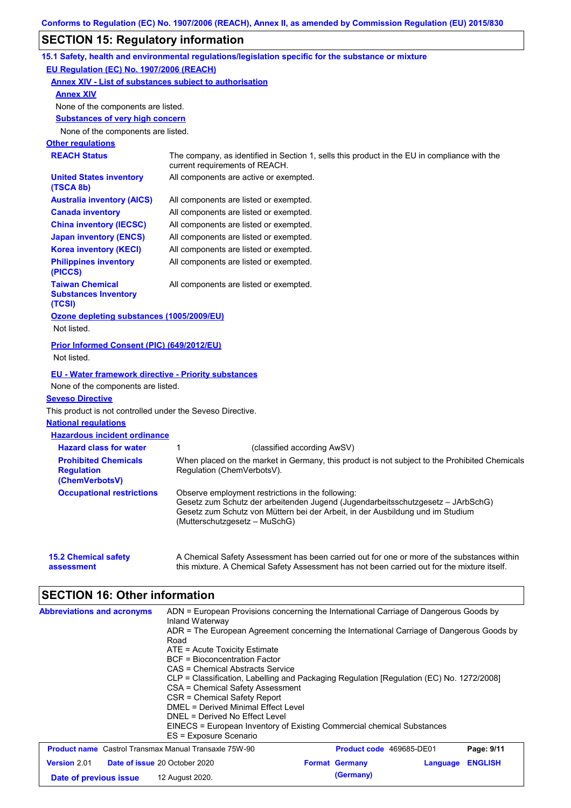# **SECTION 15: Regulatory information**

|                                                                                                                                                                                            | 15.1 Safety, health and environmental regulations/legislation specific for the substance or mixture                                                                                                                                                     |
|--------------------------------------------------------------------------------------------------------------------------------------------------------------------------------------------|---------------------------------------------------------------------------------------------------------------------------------------------------------------------------------------------------------------------------------------------------------|
| EU Regulation (EC) No. 1907/2006 (REACH)                                                                                                                                                   |                                                                                                                                                                                                                                                         |
| <b>Annex XIV - List of substances subject to authorisation</b>                                                                                                                             |                                                                                                                                                                                                                                                         |
| <b>Annex XIV</b>                                                                                                                                                                           |                                                                                                                                                                                                                                                         |
| None of the components are listed.                                                                                                                                                         |                                                                                                                                                                                                                                                         |
| <b>Substances of very high concern</b>                                                                                                                                                     |                                                                                                                                                                                                                                                         |
| None of the components are listed.                                                                                                                                                         |                                                                                                                                                                                                                                                         |
| <b>Other regulations</b>                                                                                                                                                                   |                                                                                                                                                                                                                                                         |
| <b>REACH Status</b>                                                                                                                                                                        | The company, as identified in Section 1, sells this product in the EU in compliance with the<br>current requirements of REACH.                                                                                                                          |
| <b>United States inventory</b><br>(TSCA 8b)                                                                                                                                                | All components are active or exempted.                                                                                                                                                                                                                  |
| <b>Australia inventory (AICS)</b>                                                                                                                                                          | All components are listed or exempted.                                                                                                                                                                                                                  |
| <b>Canada inventory</b>                                                                                                                                                                    | All components are listed or exempted.                                                                                                                                                                                                                  |
| <b>China inventory (IECSC)</b>                                                                                                                                                             | All components are listed or exempted.                                                                                                                                                                                                                  |
| <b>Japan inventory (ENCS)</b>                                                                                                                                                              | All components are listed or exempted.                                                                                                                                                                                                                  |
| <b>Korea inventory (KECI)</b>                                                                                                                                                              | All components are listed or exempted.                                                                                                                                                                                                                  |
| <b>Philippines inventory</b><br>(PICCS)                                                                                                                                                    | All components are listed or exempted.                                                                                                                                                                                                                  |
| <b>Taiwan Chemical</b><br><b>Substances Inventory</b><br>(TCSI)                                                                                                                            | All components are listed or exempted.                                                                                                                                                                                                                  |
| Ozone depleting substances (1005/2009/EU)<br>Not listed.                                                                                                                                   |                                                                                                                                                                                                                                                         |
| <b>Prior Informed Consent (PIC) (649/2012/EU)</b><br>Not listed.                                                                                                                           |                                                                                                                                                                                                                                                         |
| <b>EU - Water framework directive - Priority substances</b><br>None of the components are listed.<br><b>Seveso Directive</b><br>This product is not controlled under the Seveso Directive. |                                                                                                                                                                                                                                                         |
| <b>National regulations</b>                                                                                                                                                                |                                                                                                                                                                                                                                                         |
| <b>Hazardous incident ordinance</b>                                                                                                                                                        |                                                                                                                                                                                                                                                         |
| <b>Hazard class for water</b>                                                                                                                                                              | (classified according AwSV)<br>1                                                                                                                                                                                                                        |
| <b>Prohibited Chemicals</b><br><b>Regulation</b><br>(ChemVerbotsV)                                                                                                                         | When placed on the market in Germany, this product is not subject to the Prohibited Chemicals<br>Regulation (ChemVerbotsV).                                                                                                                             |
| <b>Occupational restrictions</b>                                                                                                                                                           | Observe employment restrictions in the following:<br>Gesetz zum Schutz der arbeitenden Jugend (Jugendarbeitsschutzgesetz - JArbSchG)<br>Gesetz zum Schutz von Müttern bei der Arbeit, in der Ausbildung und im Studium<br>(Mutterschutzgesetz - MuSchG) |
| <b>15.2 Chemical safety</b><br>assessment                                                                                                                                                  | A Chemical Safety Assessment has been carried out for one or more of the substances within<br>this mixture. A Chemical Safety Assessment has not been carried out for the mixture itself.                                                               |

# **SECTION 16: Other information**

| <b>Abbreviations and acronyms</b>                            | ADN = European Provisions concerning the International Carriage of Dangerous Goods by<br>Inland Waterway                                                                                                                                                                                                                                                                                                                                        |  |                                 |  |          |                |
|--------------------------------------------------------------|-------------------------------------------------------------------------------------------------------------------------------------------------------------------------------------------------------------------------------------------------------------------------------------------------------------------------------------------------------------------------------------------------------------------------------------------------|--|---------------------------------|--|----------|----------------|
|                                                              | ADR = The European Agreement concerning the International Carriage of Dangerous Goods by<br>Road<br>ATE = Acute Toxicity Estimate<br>BCF = Bioconcentration Factor<br>CAS = Chemical Abstracts Service<br>CLP = Classification, Labelling and Packaging Regulation [Regulation (EC) No. 1272/2008]<br>CSA = Chemical Safety Assessment<br>CSR = Chemical Safety Report<br>DMEL = Derived Minimal Effect Level<br>DNEL = Derived No Effect Level |  |                                 |  |          |                |
|                                                              | EINECS = European Inventory of Existing Commercial chemical Substances<br>ES = Exposure Scenario                                                                                                                                                                                                                                                                                                                                                |  |                                 |  |          |                |
| <b>Product name</b> Castrol Transmax Manual Transaxle 75W-90 |                                                                                                                                                                                                                                                                                                                                                                                                                                                 |  | <b>Product code</b> 469685-DE01 |  |          | Page: 9/11     |
| <b>Version 2.01</b>                                          | <b>Date of issue 20 October 2020</b>                                                                                                                                                                                                                                                                                                                                                                                                            |  | <b>Format Germany</b>           |  | Language | <b>ENGLISH</b> |
| Date of previous issue                                       | 12 August 2020.                                                                                                                                                                                                                                                                                                                                                                                                                                 |  | (Germany)                       |  |          |                |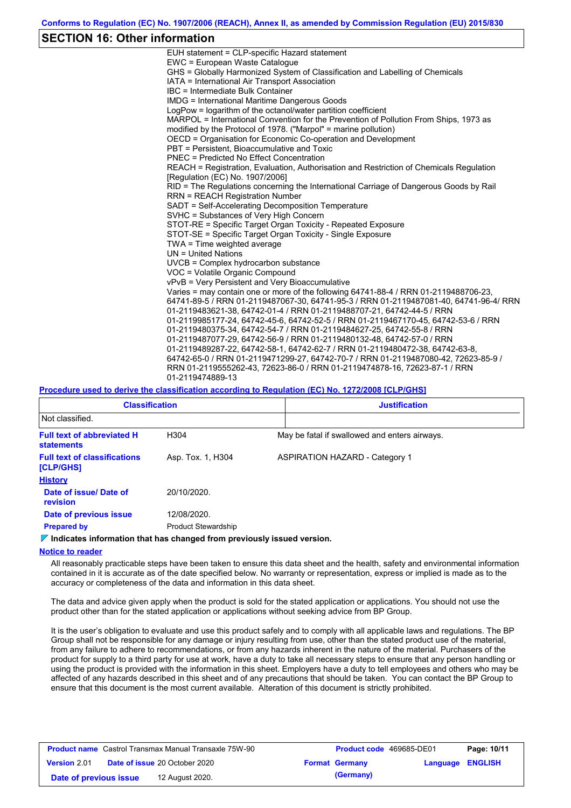### **SECTION 16: Other information**

| EUH statement = CLP-specific Hazard statement                                                                                                                                                                                                          |
|--------------------------------------------------------------------------------------------------------------------------------------------------------------------------------------------------------------------------------------------------------|
| EWC = European Waste Catalogue                                                                                                                                                                                                                         |
| GHS = Globally Harmonized System of Classification and Labelling of Chemicals                                                                                                                                                                          |
| IATA = International Air Transport Association                                                                                                                                                                                                         |
| IBC = Intermediate Bulk Container                                                                                                                                                                                                                      |
| <b>IMDG = International Maritime Dangerous Goods</b>                                                                                                                                                                                                   |
| LogPow = logarithm of the octanol/water partition coefficient                                                                                                                                                                                          |
| MARPOL = International Convention for the Prevention of Pollution From Ships, 1973 as                                                                                                                                                                  |
| modified by the Protocol of 1978. ("Marpol" = marine pollution)                                                                                                                                                                                        |
| OECD = Organisation for Economic Co-operation and Development                                                                                                                                                                                          |
| PBT = Persistent. Bioaccumulative and Toxic                                                                                                                                                                                                            |
| <b>PNEC = Predicted No Effect Concentration</b>                                                                                                                                                                                                        |
| REACH = Registration, Evaluation, Authorisation and Restriction of Chemicals Regulation<br>[Regulation (EC) No. 1907/2006]                                                                                                                             |
| RID = The Regulations concerning the International Carriage of Dangerous Goods by Rail                                                                                                                                                                 |
| <b>RRN = REACH Registration Number</b>                                                                                                                                                                                                                 |
| SADT = Self-Accelerating Decomposition Temperature                                                                                                                                                                                                     |
| SVHC = Substances of Very High Concern                                                                                                                                                                                                                 |
| STOT-RE = Specific Target Organ Toxicity - Repeated Exposure                                                                                                                                                                                           |
| STOT-SE = Specific Target Organ Toxicity - Single Exposure                                                                                                                                                                                             |
| TWA = Time weighted average                                                                                                                                                                                                                            |
| $UN = United Nations$                                                                                                                                                                                                                                  |
| UVCB = Complex hydrocarbon substance                                                                                                                                                                                                                   |
| VOC = Volatile Organic Compound                                                                                                                                                                                                                        |
| vPvB = Very Persistent and Very Bioaccumulative                                                                                                                                                                                                        |
| Varies = may contain one or more of the following 64741-88-4 / RRN 01-2119488706-23,<br>64741-89-5 / RRN 01-2119487067-30, 64741-95-3 / RRN 01-2119487081-40, 64741-96-4/ RRN<br>01-2119483621-38, 64742-01-4 / RRN 01-2119488707-21, 64742-44-5 / RRN |
| 01-2119985177-24, 64742-45-6, 64742-52-5 / RRN 01-2119467170-45, 64742-53-6 / RRN                                                                                                                                                                      |
| 01-2119480375-34, 64742-54-7 / RRN 01-2119484627-25, 64742-55-8 / RRN                                                                                                                                                                                  |
| 01-2119487077-29, 64742-56-9 / RRN 01-2119480132-48, 64742-57-0 / RRN                                                                                                                                                                                  |
| 01-2119489287-22, 64742-58-1, 64742-62-7 / RRN 01-2119480472-38, 64742-63-8,                                                                                                                                                                           |
| 64742-65-0 / RRN 01-2119471299-27, 64742-70-7 / RRN 01-2119487080-42, 72623-85-9 /<br>RRN 01-2119555262-43, 72623-86-0 / RRN 01-2119474878-16, 72623-87-1 / RRN<br>01-2119474889-13                                                                    |
|                                                                                                                                                                                                                                                        |

#### **Procedure used to derive the classification according to Regulation (EC) No. 1272/2008 [CLP/GHS]**

| <b>Classification</b>                                  |                            |                                               | <b>Justification</b>                  |  |  |
|--------------------------------------------------------|----------------------------|-----------------------------------------------|---------------------------------------|--|--|
| Not classified.                                        |                            |                                               |                                       |  |  |
| <b>Full text of abbreviated H</b><br><b>statements</b> | H <sub>304</sub>           | May be fatal if swallowed and enters airways. |                                       |  |  |
| <b>Full text of classifications</b><br>[CLP/GHS]       | Asp. Tox. 1, H304          |                                               | <b>ASPIRATION HAZARD - Category 1</b> |  |  |
| <b>History</b>                                         |                            |                                               |                                       |  |  |
| Date of issue/ Date of<br>revision                     | 20/10/2020.                |                                               |                                       |  |  |
| Date of previous issue                                 | 12/08/2020.                |                                               |                                       |  |  |
| <b>Prepared by</b>                                     | <b>Product Stewardship</b> |                                               |                                       |  |  |

### **Indicates information that has changed from previously issued version.**

#### **Notice to reader**

All reasonably practicable steps have been taken to ensure this data sheet and the health, safety and environmental information contained in it is accurate as of the date specified below. No warranty or representation, express or implied is made as to the accuracy or completeness of the data and information in this data sheet.

The data and advice given apply when the product is sold for the stated application or applications. You should not use the product other than for the stated application or applications without seeking advice from BP Group.

It is the user's obligation to evaluate and use this product safely and to comply with all applicable laws and regulations. The BP Group shall not be responsible for any damage or injury resulting from use, other than the stated product use of the material, from any failure to adhere to recommendations, or from any hazards inherent in the nature of the material. Purchasers of the product for supply to a third party for use at work, have a duty to take all necessary steps to ensure that any person handling or using the product is provided with the information in this sheet. Employers have a duty to tell employees and others who may be affected of any hazards described in this sheet and of any precautions that should be taken. You can contact the BP Group to ensure that this document is the most current available. Alteration of this document is strictly prohibited.

| <b>Product name</b> Castrol Transmax Manual Transaxle 75W-90 |  |                                      | <b>Product code</b> 469685-DE01 |                       | Page: 10/11             |  |
|--------------------------------------------------------------|--|--------------------------------------|---------------------------------|-----------------------|-------------------------|--|
| <b>Version 2.01</b>                                          |  | <b>Date of issue 20 October 2020</b> |                                 | <b>Format Germany</b> | <b>Language ENGLISH</b> |  |
| Date of previous issue                                       |  | 12 August 2020.                      |                                 | (Germany)             |                         |  |